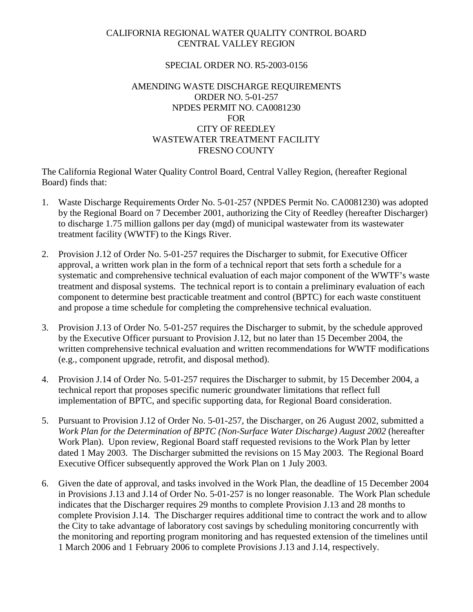## CALIFORNIA REGIONAL WATER QUALITY CONTROL BOARD CENTRAL VALLEY REGION

## SPECIAL ORDER NO. R5-2003-0156

## AMENDING WASTE DISCHARGE REQUIREMENTS ORDER NO. 5-01-257 NPDES PERMIT NO. CA0081230 FOR CITY OF REEDLEY WASTEWATER TREATMENT FACILITY FRESNO COUNTY

The California Regional Water Quality Control Board, Central Valley Region, (hereafter Regional Board) finds that:

- 1. Waste Discharge Requirements Order No. 5-01-257 (NPDES Permit No. CA0081230) was adopted by the Regional Board on 7 December 2001, authorizing the City of Reedley (hereafter Discharger) to discharge 1.75 million gallons per day (mgd) of municipal wastewater from its wastewater treatment facility (WWTF) to the Kings River.
- 2. Provision J.12 of Order No. 5-01-257 requires the Discharger to submit, for Executive Officer approval, a written work plan in the form of a technical report that sets forth a schedule for a systematic and comprehensive technical evaluation of each major component of the WWTF's waste treatment and disposal systems. The technical report is to contain a preliminary evaluation of each component to determine best practicable treatment and control (BPTC) for each waste constituent and propose a time schedule for completing the comprehensive technical evaluation.
- 3. Provision J.13 of Order No. 5-01-257 requires the Discharger to submit, by the schedule approved by the Executive Officer pursuant to Provision J.12, but no later than 15 December 2004, the written comprehensive technical evaluation and written recommendations for WWTF modifications (e.g., component upgrade, retrofit, and disposal method).
- 4. Provision J.14 of Order No. 5-01-257 requires the Discharger to submit, by 15 December 2004, a technical report that proposes specific numeric groundwater limitations that reflect full implementation of BPTC, and specific supporting data, for Regional Board consideration.
- 5. Pursuant to Provision J.12 of Order No. 5-01-257, the Discharger, on 26 August 2002, submitted a *Work Plan for the Determination of BPTC (Non-Surface Water Discharge) August 2002* (hereafter Work Plan). Upon review, Regional Board staff requested revisions to the Work Plan by letter dated 1 May 2003. The Discharger submitted the revisions on 15 May 2003. The Regional Board Executive Officer subsequently approved the Work Plan on 1 July 2003.
- 6. Given the date of approval, and tasks involved in the Work Plan, the deadline of 15 December 2004 in Provisions J.13 and J.14 of Order No. 5-01-257 is no longer reasonable. The Work Plan schedule indicates that the Discharger requires 29 months to complete Provision J.13 and 28 months to complete Provision J.14. The Discharger requires additional time to contract the work and to allow the City to take advantage of laboratory cost savings by scheduling monitoring concurrently with the monitoring and reporting program monitoring and has requested extension of the timelines until 1 March 2006 and 1 February 2006 to complete Provisions J.13 and J.14, respectively.